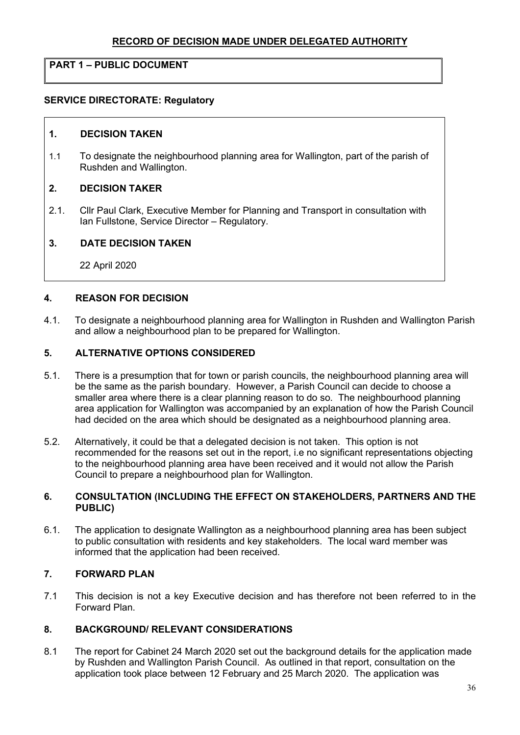# RECORD OF DECISION MADE UNDER DELEGATED AUTHORITY

# PART 1 – PUBLIC DOCUMENT

### SERVICE DIRECTORATE: Regulatory

#### 1. DECISION TAKEN

1.1 To designate the neighbourhood planning area for Wallington, part of the parish of Rushden and Wallington.

#### 2. DECISION TAKER

2.1. Cllr Paul Clark, Executive Member for Planning and Transport in consultation with Ian Fullstone, Service Director – Regulatory.

#### 3. DATE DECISION TAKEN

22 April 2020

#### 4. REASON FOR DECISION

4.1. To designate a neighbourhood planning area for Wallington in Rushden and Wallington Parish and allow a neighbourhood plan to be prepared for Wallington.

### 5. ALTERNATIVE OPTIONS CONSIDERED

- 5.1. There is a presumption that for town or parish councils, the neighbourhood planning area will be the same as the parish boundary. However, a Parish Council can decide to choose a smaller area where there is a clear planning reason to do so. The neighbourhood planning area application for Wallington was accompanied by an explanation of how the Parish Council had decided on the area which should be designated as a neighbourhood planning area.
- 5.2. Alternatively, it could be that a delegated decision is not taken. This option is not recommended for the reasons set out in the report, i.e no significant representations objecting to the neighbourhood planning area have been received and it would not allow the Parish Council to prepare a neighbourhood plan for Wallington.

#### 6. CONSULTATION (INCLUDING THE EFFECT ON STAKEHOLDERS, PARTNERS AND THE PUBLIC)

6.1. The application to designate Wallington as a neighbourhood planning area has been subject to public consultation with residents and key stakeholders. The local ward member was informed that the application had been received.

## 7. FORWARD PLAN

7.1 This decision is not a key Executive decision and has therefore not been referred to in the Forward Plan.

#### 8. BACKGROUND/ RELEVANT CONSIDERATIONS

8.1 The report for Cabinet 24 March 2020 set out the background details for the application made by Rushden and Wallington Parish Council. As outlined in that report, consultation on the application took place between 12 February and 25 March 2020. The application was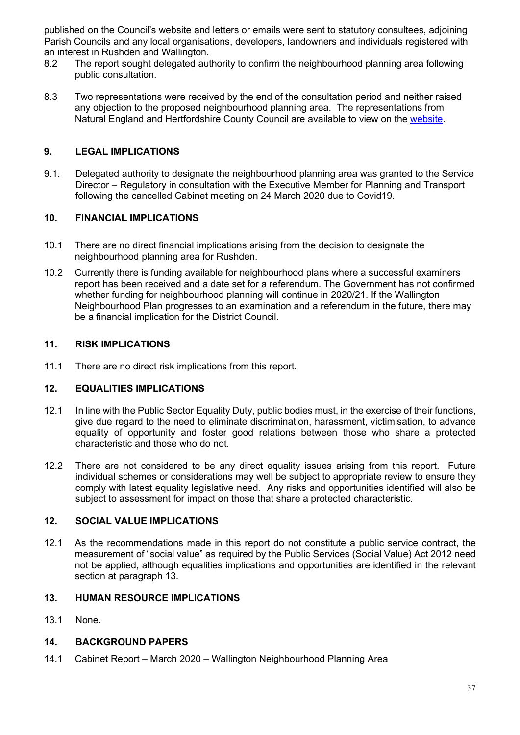published on the Council's website and letters or emails were sent to statutory consultees, adjoining Parish Councils and any local organisations, developers, landowners and individuals registered with an interest in Rushden and Wallington.

- 8.2 The report sought delegated authority to confirm the neighbourhood planning area following public consultation.
- 8.3 Two representations were received by the end of the consultation period and neither raised any objection to the proposed neighbourhood planning area. The representations from Natural England and Hertfordshire County Council are available to view on the website.

# 9. LEGAL IMPLICATIONS

9.1. Delegated authority to designate the neighbourhood planning area was granted to the Service Director – Regulatory in consultation with the Executive Member for Planning and Transport following the cancelled Cabinet meeting on 24 March 2020 due to Covid19.

## 10. FINANCIAL IMPLICATIONS

- 10.1 There are no direct financial implications arising from the decision to designate the neighbourhood planning area for Rushden.
- 10.2 Currently there is funding available for neighbourhood plans where a successful examiners report has been received and a date set for a referendum. The Government has not confirmed whether funding for neighbourhood planning will continue in 2020/21. If the Wallington Neighbourhood Plan progresses to an examination and a referendum in the future, there may be a financial implication for the District Council.

## 11. RISK IMPLICATIONS

11.1 There are no direct risk implications from this report.

## 12. EQUALITIES IMPLICATIONS

- 12.1 In line with the Public Sector Equality Duty, public bodies must, in the exercise of their functions, give due regard to the need to eliminate discrimination, harassment, victimisation, to advance equality of opportunity and foster good relations between those who share a protected characteristic and those who do not.
- 12.2 There are not considered to be any direct equality issues arising from this report. Future individual schemes or considerations may well be subject to appropriate review to ensure they comply with latest equality legislative need. Any risks and opportunities identified will also be subject to assessment for impact on those that share a protected characteristic.

## 12. SOCIAL VALUE IMPLICATIONS

12.1 As the recommendations made in this report do not constitute a public service contract, the measurement of "social value" as required by the Public Services (Social Value) Act 2012 need not be applied, although equalities implications and opportunities are identified in the relevant section at paragraph 13.

## 13. HUMAN RESOURCE IMPLICATIONS

13.1 None.

## 14. BACKGROUND PAPERS

14.1 Cabinet Report – March 2020 – Wallington Neighbourhood Planning Area